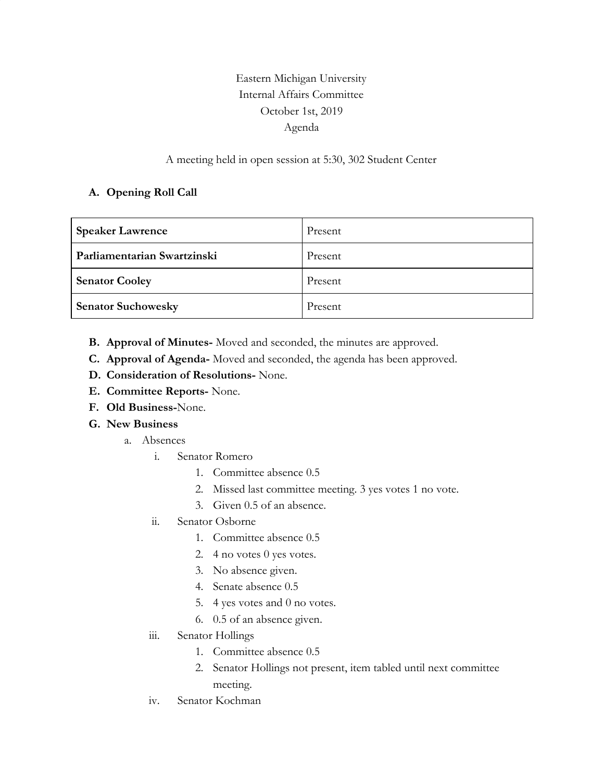## Eastern Michigan University Internal Affairs Committee October 1st, 2019 Agenda

## A meeting held in open session at 5:30, 302 Student Center

## **A. Opening Roll Call**

| <b>Speaker Lawrence</b>     | Present |
|-----------------------------|---------|
| Parliamentarian Swartzinski | Present |
| <b>Senator Cooley</b>       | Present |
| <b>Senator Suchowesky</b>   | Present |

- **B. Approval of Minutes-** Moved and seconded, the minutes are approved.
- **C. Approval of Agenda-** Moved and seconded, the agenda has been approved.
- **D. Consideration of Resolutions-** None.
- **E. Committee Reports-** None.
- **F. Old Business-**None.
- **G. New Business**
	- a. Absences
		- i. Senator Romero
			- 1. Committee absence 0.5
			- 2. Missed last committee meeting. 3 yes votes 1 no vote.
			- 3. Given 0.5 of an absence.
		- ii. Senator Osborne
			- 1. Committee absence 0.5
			- 2. 4 no votes 0 yes votes.
			- 3. No absence given.
			- 4. Senate absence 0.5
			- 5. 4 yes votes and 0 no votes.
			- 6. 0.5 of an absence given.
		- iii. Senator Hollings
			- 1. Committee absence 0.5
			- 2. Senator Hollings not present, item tabled until next committee meeting.
		- iv. Senator Kochman